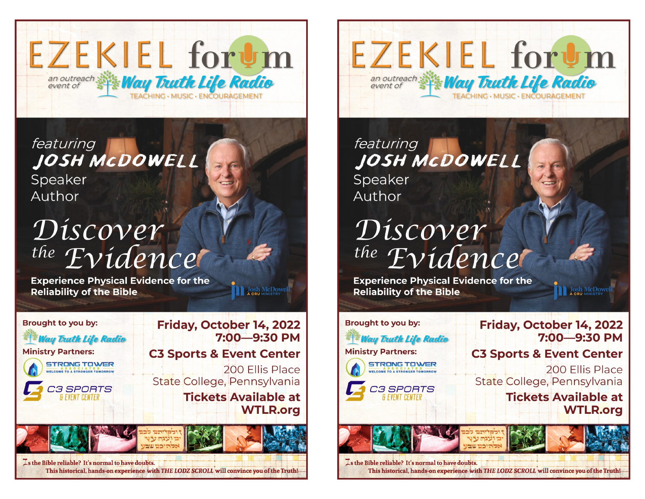

featuring JOSH MCDOWELL Speaker Author

## Discover the Evidencer

**Experience Physical Evidence for the Reliability of the Bible** 



Josh McDowe

**EZEKIEL forum** an outreach Way Trutte Life Radio FACHING . MUSIC . ENCOURAGEMENT

featuring JOSH MCDOWELL Speaker Author

## Discover the Evidence

**Experience Physical Evidence for the Reliability of the Bible** 

**Brought to you by:** Friday, October 14, 2022 7:00-9:30 PM **Way Trutk Life Radio Ministry Partners: C3 Sports & Event Center STRONG TOWER** 200 Fllis Place WELCOME TO A STRONGER TOMORROW State College, Pennsylvania C3 SPORTS **Tickets Available at** & EVENT CENTER **WTLR.org** 

**DEL JOSh McDowe** 

**Zs the Bible reliable? It's normal to have doubts.** This historical, hands-on experience with THE LODZ SCROLL will convince you of the Truth!-